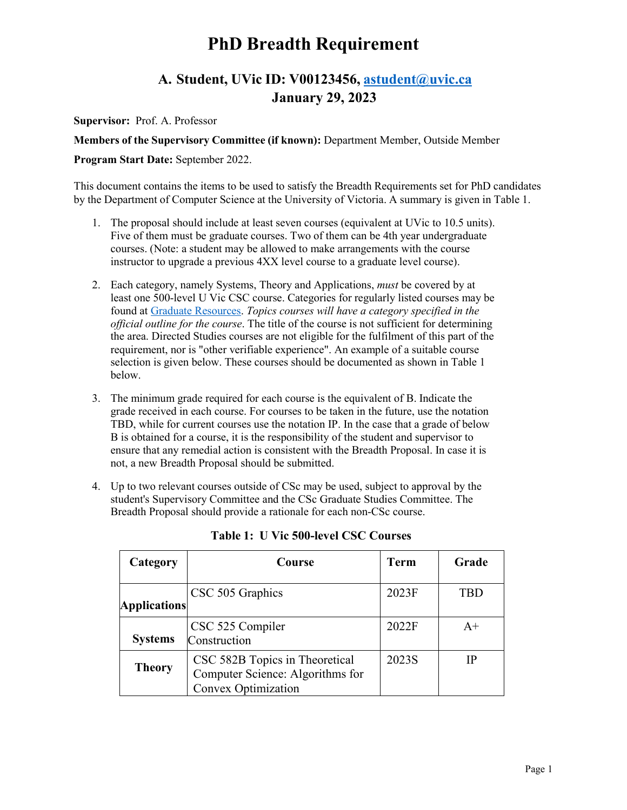# **PhD Breadth Requirement**

# **A. Student, UVic ID: V00123456, [astudent@uvic.ca](mailto:astudent@uvic.ca) January 29, 2023**

**Supervisor:** Prof. A. Professor

**Members of the Supervisory Committee (if known):** Department Member, Outside Member

#### **Program Start Date:** September 2022.

This document contains the items to be used to satisfy the Breadth Requirements set for PhD candidates by the Department of Computer Science at the University of Victoria. A summary is given in Table 1.

- 1. The proposal should include at least seven courses (equivalent at UVic to 10.5 units). Five of them must be graduate courses. Two of them can be 4th year undergraduate courses. (Note: a student may be allowed to make arrangements with the course instructor to upgrade a previous 4XX level course to a graduate level course).
- 2. Each category, namely Systems, Theory and Applications, *must* be covered by at least one 500-level U Vic CSC course. Categories for regularly listed courses may be found at [Graduate Resources.](https://www.uvic.ca/ecs/computerscience/assets/docs/grad/breadth-requirement-classification.pdf) *Topics courses will have a category specified in the official outline for the course*. The title of the course is not sufficient for determining the area. Directed Studies courses are not eligible for the fulfilment of this part of the requirement, nor is "other verifiable experience". An example of a suitable course selection is given below. These courses should be documented as shown in Table 1 below.
- 3. The minimum grade required for each course is the equivalent of B. Indicate the grade received in each course. For courses to be taken in the future, use the notation TBD, while for current courses use the notation IP. In the case that a grade of below B is obtained for a course, it is the responsibility of the student and supervisor to ensure that any remedial action is consistent with the Breadth Proposal. In case it is not, a new Breadth Proposal should be submitted.
- 4. Up to two relevant courses outside of CSc may be used, subject to approval by the student's Supervisory Committee and the CSc Graduate Studies Committee. The Breadth Proposal should provide a rationale for each non-CSc course.

| Category            | Course                                                                                           | <b>Term</b> | Grade |
|---------------------|--------------------------------------------------------------------------------------------------|-------------|-------|
| <b>Applications</b> | CSC 505 Graphics                                                                                 | 2023F       | TBD   |
| <b>Systems</b>      | CSC 525 Compiler<br>Construction                                                                 | 2022F       | $A+$  |
| <b>Theory</b>       | CSC 582B Topics in Theoretical<br>Computer Science: Algorithms for<br><b>Convex Optimization</b> | 2023S       | IP    |

**Table 1: U Vic 500-level CSC Courses**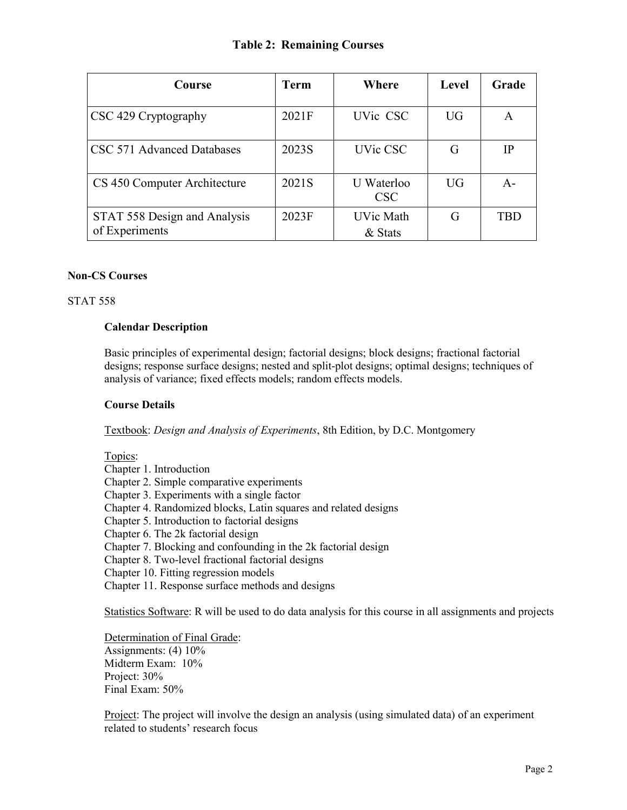## **Table 2: Remaining Courses**

| Course                                         | <b>Term</b> | Where                       | <b>Level</b> | Grade      |
|------------------------------------------------|-------------|-----------------------------|--------------|------------|
| CSC 429 Cryptography                           | 2021F       | UVic CSC                    | UG           | A          |
| CSC 571 Advanced Databases                     | 2023S       | UVic CSC                    | G            | IP         |
| CS 450 Computer Architecture                   | 2021S       | U Waterloo<br><b>CSC</b>    | <b>UG</b>    | $A -$      |
| STAT 558 Design and Analysis<br>of Experiments | 2023F       | <b>UVic Math</b><br>& Stats | G            | <b>TRD</b> |

#### **Non-CS Courses**

#### STAT 558

#### **Calendar Description**

Basic principles of experimental design; factorial designs; block designs; fractional factorial designs; response surface designs; nested and split-plot designs; optimal designs; techniques of analysis of variance; fixed effects models; random effects models.

#### **Course Details**

Textbook: *Design and Analysis of Experiments*, 8th Edition, by D.C. Montgomery

#### Topics:

- Chapter 1. Introduction
- Chapter 2. Simple comparative experiments
- Chapter 3. Experiments with a single factor
- Chapter 4. Randomized blocks, Latin squares and related designs
- Chapter 5. Introduction to factorial designs
- Chapter 6. The 2k factorial design
- Chapter 7. Blocking and confounding in the 2k factorial design
- Chapter 8. Two-level fractional factorial designs
- Chapter 10. Fitting regression models
- Chapter 11. Response surface methods and designs

Statistics Software: R will be used to do data analysis for this course in all assignments and projects

Determination of Final Grade: Assignments: (4) 10%

Midterm Exam: 10% Project: 30% Final Exam: 50%

Project: The project will involve the design an analysis (using simulated data) of an experiment related to students' research focus